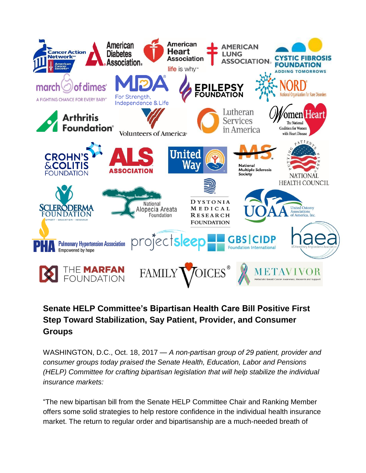

## **Senate HELP Committee's Bipartisan Health Care Bill Positive First Step Toward Stabilization, Say Patient, Provider, and Consumer Groups**

WASHINGTON, D.C., Oct. 18, 2017 — *A non-partisan group of 29 patient, provider and consumer groups today praised the Senate Health, Education, Labor and Pensions (HELP) Committee for crafting bipartisan legislation that will help stabilize the individual insurance markets:* 

"The new bipartisan bill from the Senate HELP Committee Chair and Ranking Member offers some solid strategies to help restore confidence in the individual health insurance market. The return to regular order and bipartisanship are a much-needed breath of